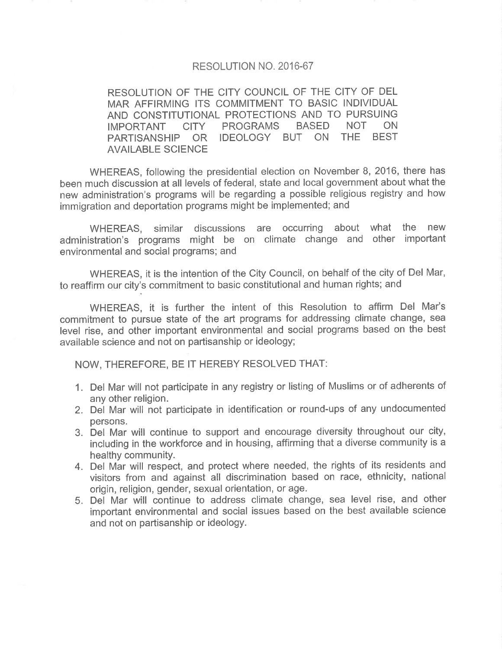## RESOLUTION NO. 2016-67

RESOLUTION OF THE CITY COUNCIL OF THE CITY OF DEL MAR AFFIRMING ITS COMMITMENT TO BASIC INDIVIDUAL AND CONSTITUTIONAL PROTECTIONS AND TO PURSUING IMPORTANT CITY PROGRAMS BASED NOT ON IMPORTANT CITY PROGRAMS BASED NOT ON<br>PARTISANSHIP OR IDEOLOGY BUT ON THE BEST AVAILABLE SCIENCE

WHEREAS, following the presidential election on November B, 2016, there has been much discussion at all levels of federal, state and local government about what the new administration's programs will be regarding a possible religious registry and how immigration and deportation programs might be implemented; and

WHEREAS, similar discussions are occurring about what the new administration's programs might be on climate change and other important environmental and social programs; and

WHEREAS, it is the intention of the City Council, on behalf of the city of Del Mar, to reaffirm our city's commitment to basic constitutional and human rights; and

WHEREAS, it is further the intent of this Resolution to affirm Del Mar's commitment to pursue state of the art programs for addressing climate change, sea level rise, and other important environmental and social programs based on the best available science and not on partisanship or ideology;

NOW, THEREFORE, BE IT HEREBY RESOLVED THAT:

- 1. Del Mar will not participate in any registry or listing of Muslims or of adherents of any other religion.
- 2. Del Mar will not participate in identification or round-ups of any undocumented persons.
- 3. Del Mar will continue to support and encourage diversity throughout our city, including in the workforce and in housing, affirming that a diverse community is a healthy community.
- 4. Del Mar will respect, and protect where needed, the rights of its residents and visitors from and against all discrimination based on race, ethnicity, national origin, religion, gender, sexual orientation, or age.
- 5. Del Mar will continue to address climate change, sea level rise, and other important environmental and social issues based on the best available science and not on partisanship or ideology.